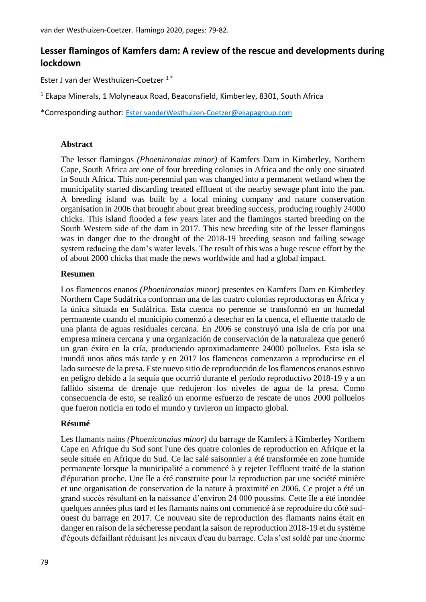# **Lesser flamingos of Kamfers dam: A review of the rescue and developments during lockdown**

Ester J van der Westhuizen-Coetzer 1 \*

<sup>1</sup> Ekapa Minerals, 1 Molyneaux Road, Beaconsfield, Kimberley, 8301, South Africa

\*Corresponding author: [Ester.vanderWesthuizen-Coetzer@ekapagroup.com](mailto:Ester.vanderWesthuizen-Coetzer@ekapagroup.com)

#### **Abstract**

The lesser flamingos *(Phoeniconaias minor)* of Kamfers Dam in Kimberley, Northern Cape, South Africa are one of four breeding colonies in Africa and the only one situated in South Africa. This non-perennial pan was changed into a permanent wetland when the municipality started discarding treated effluent of the nearby sewage plant into the pan. A breeding island was built by a local mining company and nature conservation organisation in 2006 that brought about great breeding success, producing roughly 24000 chicks. This island flooded a few years later and the flamingos started breeding on the South Western side of the dam in 2017. This new breeding site of the lesser flamingos was in danger due to the drought of the 2018-19 breeding season and failing sewage system reducing the dam's water levels. The result of this was a huge rescue effort by the of about 2000 chicks that made the news worldwide and had a global impact.

#### **Resumen**

Los flamencos enanos *(Phoeniconaias minor)* presentes en Kamfers Dam en Kimberley Northern Cape Sudáfrica conforman una de las cuatro colonias reproductoras en África y la única situada en Sudáfrica. Esta cuenca no perenne se transformó en un humedal permanente cuando el municipio comenzó a desechar en la cuenca, el efluente tratado de una planta de aguas residuales cercana. En 2006 se construyó una isla de cría por una empresa minera cercana y una organización de conservación de la naturaleza que generó un gran éxito en la cría, produciendo aproximadamente 24000 polluelos. Esta isla se inundó unos años más tarde y en 2017 los flamencos comenzaron a reproducirse en el lado suroeste de la presa. Este nuevo sitio de reproducción de los flamencos enanos estuvo en peligro debido a la sequía que ocurrió durante el período reproductivo 2018-19 y a un fallido sistema de drenaje que redujeron los niveles de agua de la presa. Como consecuencia de esto, se realizó un enorme esfuerzo de rescate de unos 2000 polluelos que fueron noticia en todo el mundo y tuvieron un impacto global.

#### **Résumé**

Les flamants nains *(Phoeniconaias minor)* du barrage de Kamfers à Kimberley Northern Cape en Afrique du Sud sont l'une des quatre colonies de reproduction en Afrique et la seule située en Afrique du Sud. Ce lac salé saisonnier a été transformée en zone humide permanente lorsque la municipalité a commencé à y rejeter l'effluent traité de la station d'épuration proche. Une île a été construite pour la reproduction par une société minière et une organisation de conservation de la nature à proximité en 2006. Ce projet a été un grand succès résultant en la naissance d'environ 24 000 poussins. Cette île a été inondée quelques années plus tard et les flamants nains ont commencé à se reproduire du côté sudouest du barrage en 2017. Ce nouveau site de reproduction des flamants nains était en danger en raison de la sécheresse pendant la saison de reproduction 2018-19 et du système d'égouts défaillant réduisant les niveaux d'eau du barrage. Cela s'est soldé par une énorme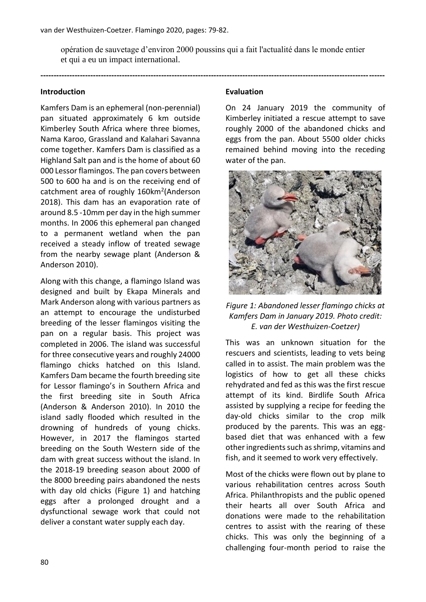opération de sauvetage d'environ 2000 poussins qui a fait l'actualité dans le monde entier et qui a eu un impact international.

**-----------------------------------------------------------------------------------------------------------------------------------**

#### **Introduction**

Kamfers Dam is an ephemeral (non-perennial) pan situated approximately 6 km outside Kimberley South Africa where three biomes, Nama Karoo, Grassland and Kalahari Savanna come together. Kamfers Dam is classified as a Highland Salt pan and is the home of about 60 000 Lessor flamingos. The pan covers between 500 to 600 ha and is on the receiving end of catchment area of roughly 160km<sup>2</sup>(Anderson 2018). This dam has an evaporation rate of around 8.5 -10mm per day in the high summer months. In 2006 this ephemeral pan changed to a permanent wetland when the pan received a steady inflow of treated sewage from the nearby sewage plant (Anderson & Anderson 2010).

Along with this change, a flamingo Island was designed and built by Ekapa Minerals and Mark Anderson along with various partners as an attempt to encourage the undisturbed breeding of the lesser flamingos visiting the pan on a regular basis. This project was completed in 2006. The island was successful for three consecutive years and roughly 24000 flamingo chicks hatched on this Island. Kamfers Dam became the fourth breeding site for Lessor flamingo's in Southern Africa and the first breeding site in South Africa (Anderson & Anderson 2010). In 2010 the island sadly flooded which resulted in the drowning of hundreds of young chicks. However, in 2017 the flamingos started breeding on the South Western side of the dam with great success without the island. In the 2018-19 breeding season about 2000 of the 8000 breeding pairs abandoned the nests with day old chicks (Figure 1) and hatching eggs after a prolonged drought and a dysfunctional sewage work that could not deliver a constant water supply each day.

## **Evaluation**

On 24 January 2019 the community of Kimberley initiated a rescue attempt to save roughly 2000 of the abandoned chicks and eggs from the pan. About 5500 older chicks remained behind moving into the receding water of the pan.



*Figure 1: Abandoned lesser flamingo chicks at Kamfers Dam in January 2019. Photo credit: E. van der Westhuizen-Coetzer)*

This was an unknown situation for the rescuers and scientists, leading to vets being called in to assist. The main problem was the logistics of how to get all these chicks rehydrated and fed as this was the first rescue attempt of its kind. Birdlife South Africa assisted by supplying a recipe for feeding the day-old chicks similar to the crop milk produced by the parents. This was an eggbased diet that was enhanced with a few other ingredients such as shrimp, vitamins and fish, and it seemed to work very effectively.

Most of the chicks were flown out by plane to various rehabilitation centres across South Africa. Philanthropists and the public opened their hearts all over South Africa and donations were made to the rehabilitation centres to assist with the rearing of these chicks. This was only the beginning of a challenging four-month period to raise the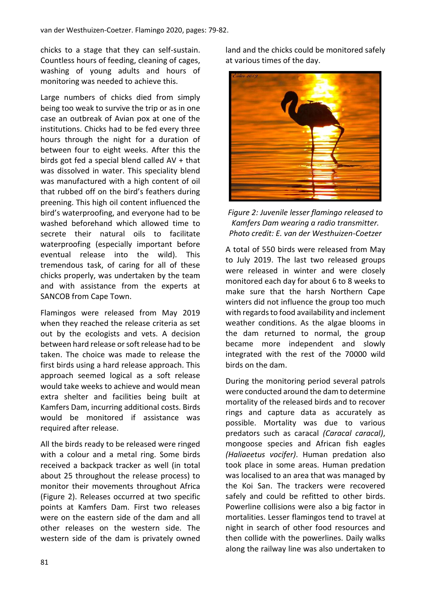chicks to a stage that they can self-sustain. Countless hours of feeding, cleaning of cages, washing of young adults and hours of monitoring was needed to achieve this.

Large numbers of chicks died from simply being too weak to survive the trip or as in one case an outbreak of Avian pox at one of the institutions. Chicks had to be fed every three hours through the night for a duration of between four to eight weeks. After this the birds got fed a special blend called AV + that was dissolved in water. This speciality blend was manufactured with a high content of oil that rubbed off on the bird's feathers during preening. This high oil content influenced the bird's waterproofing, and everyone had to be washed beforehand which allowed time to secrete their natural oils to facilitate waterproofing (especially important before eventual release into the wild). This tremendous task, of caring for all of these chicks properly, was undertaken by the team and with assistance from the experts at SANCOB from Cape Town.

Flamingos were released from May 2019 when they reached the release criteria as set out by the ecologists and vets. A decision between hard release or soft release had to be taken. The choice was made to release the first birds using a hard release approach. This approach seemed logical as a soft release would take weeks to achieve and would mean extra shelter and facilities being built at Kamfers Dam, incurring additional costs. Birds would be monitored if assistance was required after release.

All the birds ready to be released were ringed with a colour and a metal ring. Some birds received a backpack tracker as well (in total about 25 throughout the release process) to monitor their movements throughout Africa (Figure 2). Releases occurred at two specific points at Kamfers Dam. First two releases were on the eastern side of the dam and all other releases on the western side. The western side of the dam is privately owned

land and the chicks could be monitored safely at various times of the day.



*Figure 2: Juvenile lesser flamingo released to Kamfers Dam wearing a radio transmitter. Photo credit: E. van der Westhuizen-Coetzer*

A total of 550 birds were released from May to July 2019. The last two released groups were released in winter and were closely monitored each day for about 6 to 8 weeks to make sure that the harsh Northern Cape winters did not influence the group too much with regards to food availability and inclement weather conditions. As the algae blooms in the dam returned to normal, the group became more independent and slowly integrated with the rest of the 70000 wild birds on the dam.

During the monitoring period several patrols were conducted around the dam to determine mortality of the released birds and to recover rings and capture data as accurately as possible. Mortality was due to various predators such as caracal *(Caracal caracal)*, mongoose species and African fish eagles *(Haliaeetus vocifer)*. Human predation also took place in some areas. Human predation was localised to an area that was managed by the Koi San. The trackers were recovered safely and could be refitted to other birds. Powerline collisions were also a big factor in mortalities. Lesser flamingos tend to travel at night in search of other food resources and then collide with the powerlines. Daily walks along the railway line was also undertaken to